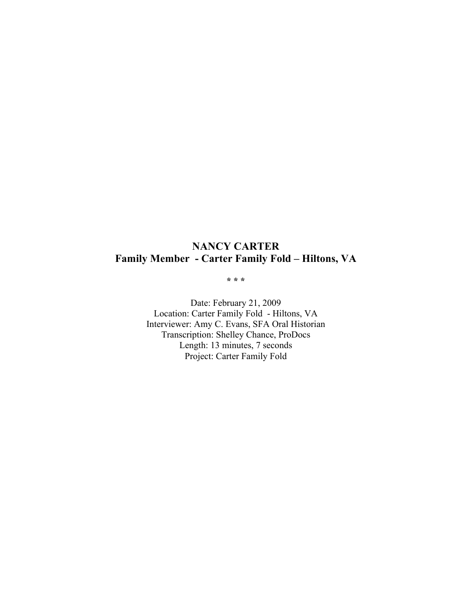# **NANCY CARTER Family Member - Carter Family Fold – Hiltons, VA**

**\* \* \***

Date: February 21, 2009 Location: Carter Family Fold - Hiltons, VA Interviewer: Amy C. Evans, SFA Oral Historian Transcription: Shelley Chance, ProDocs Length: 13 minutes, 7 seconds Project: Carter Family Fold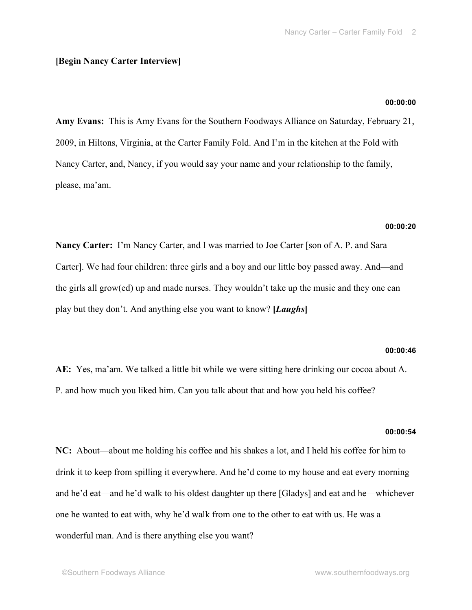# **[Begin Nancy Carter Interview]**

# **00:00:00**

**Amy Evans:** This is Amy Evans for the Southern Foodways Alliance on Saturday, February 21, 2009, in Hiltons, Virginia, at the Carter Family Fold. And I'm in the kitchen at the Fold with Nancy Carter, and, Nancy, if you would say your name and your relationship to the family, please, ma'am.

# **00:00:20**

**Nancy Carter:** I'm Nancy Carter, and I was married to Joe Carter [son of A. P. and Sara Carter]. We had four children: three girls and a boy and our little boy passed away. And—and the girls all grow(ed) up and made nurses. They wouldn't take up the music and they one can play but they don't. And anything else you want to know? **[***Laughs***]**

#### **00:00:46**

**AE:** Yes, ma'am. We talked a little bit while we were sitting here drinking our cocoa about A. P. and how much you liked him. Can you talk about that and how you held his coffee?

#### **00:00:54**

**NC:** About—about me holding his coffee and his shakes a lot, and I held his coffee for him to drink it to keep from spilling it everywhere. And he'd come to my house and eat every morning and he'd eat—and he'd walk to his oldest daughter up there [Gladys] and eat and he—whichever one he wanted to eat with, why he'd walk from one to the other to eat with us. He was a wonderful man. And is there anything else you want?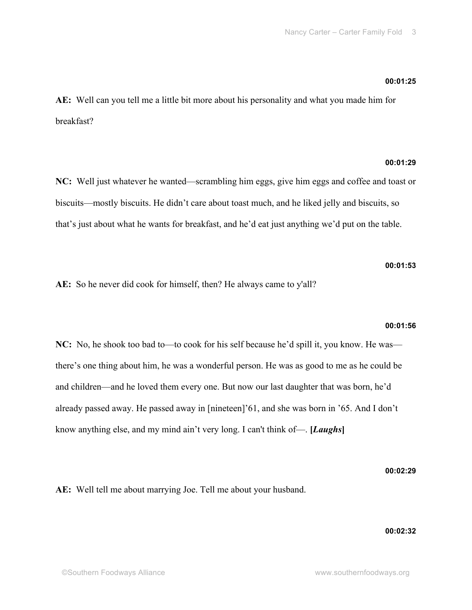# **00:01:25**

**AE:** Well can you tell me a little bit more about his personality and what you made him for breakfast?

# **00:01:29**

**NC:** Well just whatever he wanted—scrambling him eggs, give him eggs and coffee and toast or biscuits—mostly biscuits. He didn't care about toast much, and he liked jelly and biscuits, so that's just about what he wants for breakfast, and he'd eat just anything we'd put on the table.

# **00:01:53**

**AE:** So he never did cook for himself, then? He always came to y'all?

#### **00:01:56**

**NC:** No, he shook too bad to—to cook for his self because he'd spill it, you know. He was there's one thing about him, he was a wonderful person. He was as good to me as he could be and children—and he loved them every one. But now our last daughter that was born, he'd already passed away. He passed away in [nineteen]'61, and she was born in '65. And I don't know anything else, and my mind ain't very long. I can't think of—. **[***Laughs***]**

#### **00:02:29**

**AE:** Well tell me about marrying Joe. Tell me about your husband.

# **00:02:32**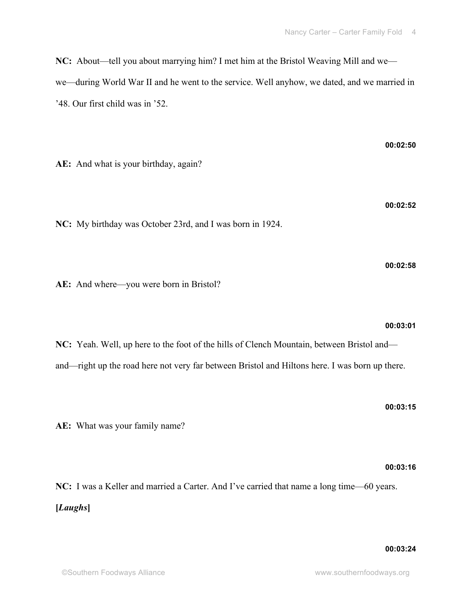**NC:** About—tell you about marrying him? I met him at the Bristol Weaving Mill and we we—during World War II and he went to the service. Well anyhow, we dated, and we married in '48. Our first child was in '52.

**AE:** And what is your birthday, again?

**NC:** My birthday was October 23rd, and I was born in 1924.

**AE:** And where—you were born in Bristol?

**NC:** Yeah. Well, up here to the foot of the hills of Clench Mountain, between Bristol and and—right up the road here not very far between Bristol and Hiltons here. I was born up there.

**AE:** What was your family name?

**NC:** I was a Keller and married a Carter. And I've carried that name a long time—60 years. **[***Laughs***]**

#### **00:03:01**

**00:02:58**

# **00:03:15**

**00:03:16**

# **00:02:50**

**00:02:52**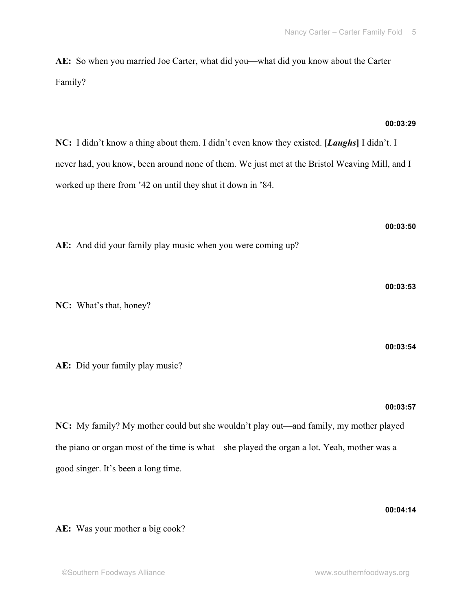**AE:** So when you married Joe Carter, what did you—what did you know about the Carter

Family?

# **00:03:29**

**NC:** I didn't know a thing about them. I didn't even know they existed. **[***Laughs***]** I didn't. I never had, you know, been around none of them. We just met at the Bristol Weaving Mill, and I worked up there from '42 on until they shut it down in '84.

**AE:** And did your family play music when you were coming up?

**NC:** What's that, honey?

**AE:** Did your family play music?

**NC:** My family? My mother could but she wouldn't play out—and family, my mother played the piano or organ most of the time is what—she played the organ a lot. Yeah, mother was a good singer. It's been a long time.

**AE:** Was your mother a big cook?

# **00:03:50**

$$
00:03:54
$$

**00:03:53**

# **00:03:57**

**00:04:14**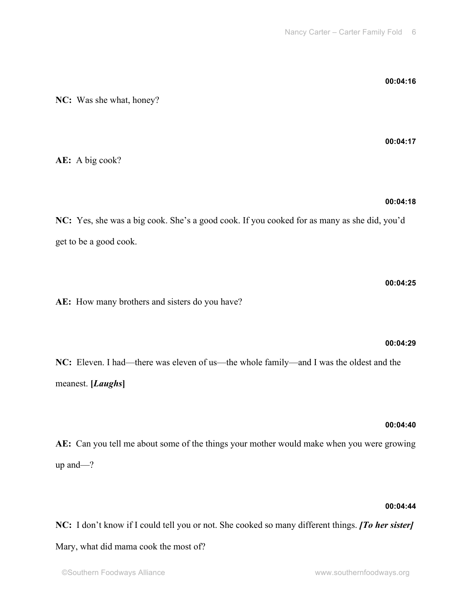**NC:** Was she what, honey?

**AE:** A big cook?

# **00:04:18**

**NC:** Yes, she was a big cook. She's a good cook. If you cooked for as many as she did, you'd get to be a good cook.

**AE:** How many brothers and sisters do you have?

**NC:** Eleven. I had—there was eleven of us—the whole family—and I was the oldest and the meanest. **[***Laughs***]**

#### **00:04:40**

**AE:** Can you tell me about some of the things your mother would make when you were growing up and—?

#### **00:04:44**

**NC:** I don't know if I could tell you or not. She cooked so many different things. *[To her sister]* Mary, what did mama cook the most of?

# **00:04:16**

**00:04:17**

# **00:04:25**

**00:04:29**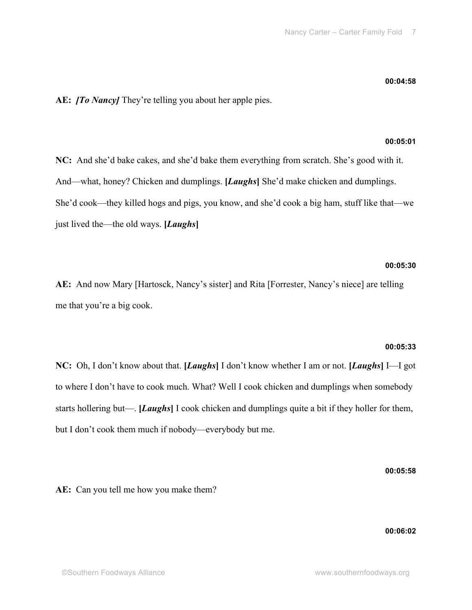# **AE:** *[To Nancy]* They're telling you about her apple pies.

# **00:05:01**

**NC:** And she'd bake cakes, and she'd bake them everything from scratch. She's good with it. And—what, honey? Chicken and dumplings. **[***Laughs***]** She'd make chicken and dumplings. She'd cook—they killed hogs and pigs, you know, and she'd cook a big ham, stuff like that—we just lived the—the old ways. **[***Laughs***]**

# **00:05:30**

**AE:** And now Mary [Hartosck, Nancy's sister] and Rita [Forrester, Nancy's niece] are telling me that you're a big cook.

#### **00:05:33**

**NC:** Oh, I don't know about that. **[***Laughs***]** I don't know whether I am or not. **[***Laughs***]** I—I got to where I don't have to cook much. What? Well I cook chicken and dumplings when somebody starts hollering but—. **[***Laughs***]** I cook chicken and dumplings quite a bit if they holler for them, but I don't cook them much if nobody—everybody but me.

**00:05:58**

**AE:** Can you tell me how you make them?

**00:06:02**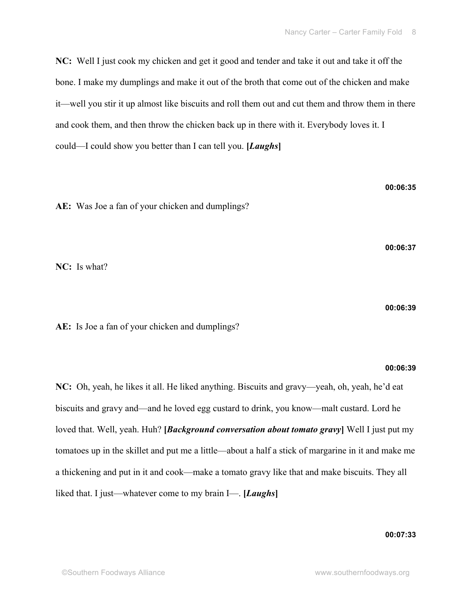**NC:** Well I just cook my chicken and get it good and tender and take it out and take it off the bone. I make my dumplings and make it out of the broth that come out of the chicken and make it—well you stir it up almost like biscuits and roll them out and cut them and throw them in there and cook them, and then throw the chicken back up in there with it. Everybody loves it. I could—I could show you better than I can tell you. **[***Laughs***]**

**AE:** Was Joe a fan of your chicken and dumplings?

**00:06:37**

**00:06:35**

**NC:** Is what?

**00:06:39**

**AE:** Is Joe a fan of your chicken and dumplings?

## **00:06:39**

**NC:** Oh, yeah, he likes it all. He liked anything. Biscuits and gravy—yeah, oh, yeah, he'd eat biscuits and gravy and—and he loved egg custard to drink, you know—malt custard. Lord he loved that. Well, yeah. Huh? **[***Background conversation about tomato gravy***]** Well I just put my tomatoes up in the skillet and put me a little—about a half a stick of margarine in it and make me a thickening and put in it and cook—make a tomato gravy like that and make biscuits. They all liked that. I just—whatever come to my brain I—. **[***Laughs***]**

**00:07:33**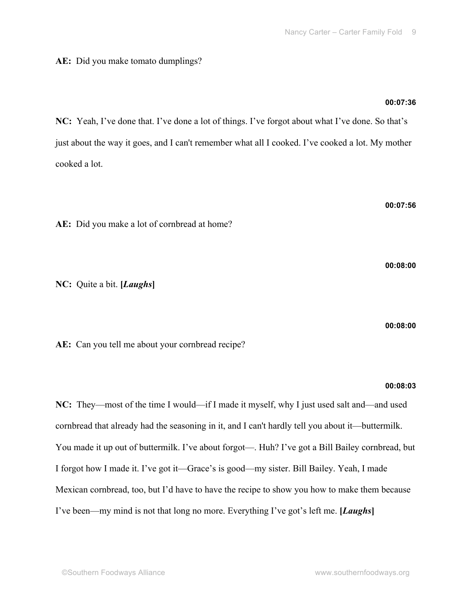# **AE:** Did you make tomato dumplings?

# **00:07:36**

**NC:** Yeah, I've done that. I've done a lot of things. I've forgot about what I've done. So that's just about the way it goes, and I can't remember what all I cooked. I've cooked a lot. My mother cooked a lot.

**00:07:56 AE:** Did you make a lot of cornbread at home?

**NC:** Quite a bit. **[***Laughs***]**

**00:08:00**

AE: Can you tell me about your cornbread recipe?

# **00:08:03**

**NC:** They—most of the time I would—if I made it myself, why I just used salt and—and used cornbread that already had the seasoning in it, and I can't hardly tell you about it—buttermilk. You made it up out of buttermilk. I've about forgot—. Huh? I've got a Bill Bailey cornbread, but I forgot how I made it. I've got it—Grace's is good—my sister. Bill Bailey. Yeah, I made Mexican cornbread, too, but I'd have to have the recipe to show you how to make them because I've been—my mind is not that long no more. Everything I've got's left me. **[***Laughs***]**

**00:08:00**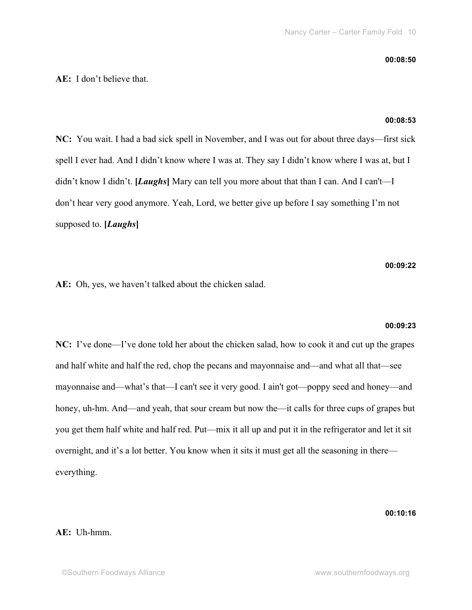#### **00:08:50**

# **AE:** I don't believe that.

# **00:08:53**

**NC:** You wait. I had a bad sick spell in November, and I was out for about three days—first sick spell I ever had. And I didn't know where I was at. They say I didn't know where I was at, but I didn't know I didn't. **[***Laughs***]** Mary can tell you more about that than I can. And I can't—I don't hear very good anymore. Yeah, Lord, we better give up before I say something I'm not supposed to. **[***Laughs***]**

**00:09:22**

**AE:** Oh, yes, we haven't talked about the chicken salad.

#### **00:09:23**

**NC:** I've done—I've done told her about the chicken salad, how to cook it and cut up the grapes and half white and half the red, chop the pecans and mayonnaise and—and what all that—see mayonnaise and—what's that—I can't see it very good. I ain't got—poppy seed and honey—and honey, uh-hm. And—and yeah, that sour cream but now the—it calls for three cups of grapes but you get them half white and half red. Put—mix it all up and put it in the refrigerator and let it sit overnight, and it's a lot better. You know when it sits it must get all the seasoning in there everything.

**00:10:16**

# **AE:** Uh-hmm.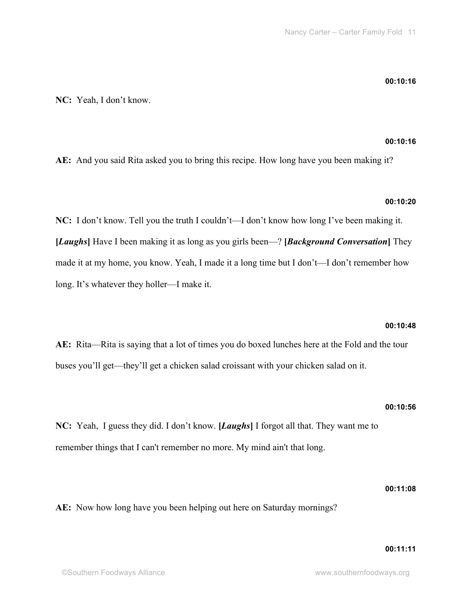# **00:10:16**

**NC:** Yeah, I don't know.

# **00:10:16**

**AE:** And you said Rita asked you to bring this recipe. How long have you been making it?

# **00:10:20**

**NC:** I don't know. Tell you the truth I couldn't—I don't know how long I've been making it. **[***Laughs***]** Have I been making it as long as you girls been—? **[***Background Conversation***]** They made it at my home, you know. Yeah, I made it a long time but I don't—I don't remember how long. It's whatever they holler—I make it.

# **00:10:48**

**AE:** Rita—Rita is saying that a lot of times you do boxed lunches here at the Fold and the tour buses you'll get—they'll get a chicken salad croissant with your chicken salad on it.

# **00:10:56**

**NC:** Yeah, I guess they did. I don't know. **[***Laughs***]** I forgot all that. They want me to remember things that I can't remember no more. My mind ain't that long.

# **00:11:08**

**AE:** Now how long have you been helping out here on Saturday mornings?

# **00:11:11**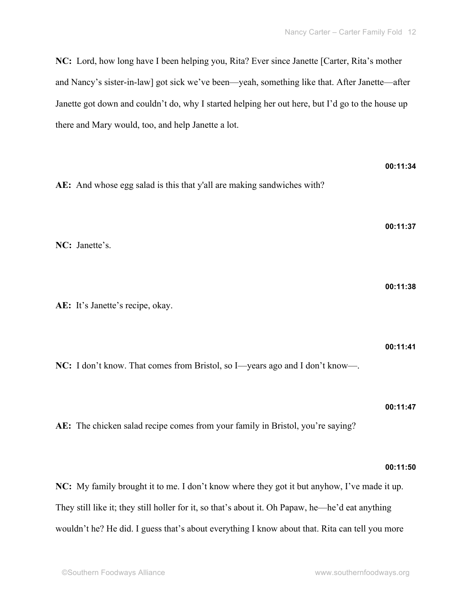**NC:** Lord, how long have I been helping you, Rita? Ever since Janette [Carter, Rita's mother and Nancy's sister-in-law] got sick we've been—yeah, something like that. After Janette—after Janette got down and couldn't do, why I started helping her out here, but I'd go to the house up there and Mary would, too, and help Janette a lot.

| AE: And whose egg salad is this that y'all are making sandwiches with?                      | 00:11:34 |
|---------------------------------------------------------------------------------------------|----------|
|                                                                                             | 00:11:37 |
| NC: Janette's.                                                                              | 00:11:38 |
| AE: It's Janette's recipe, okay.                                                            |          |
| NC: I don't know. That comes from Bristol, so I—years ago and I don't know—.                | 00:11:41 |
| AE: The chicken salad recipe comes from your family in Bristol, you're saying?              | 00:11:47 |
|                                                                                             | 00:11:50 |
| NC: My family brought it to me. I don't know where they got it but anyhow, I've made it up. |          |

They still like it; they still holler for it, so that's about it. Oh Papaw, he—he'd eat anything wouldn't he? He did. I guess that's about everything I know about that. Rita can tell you more